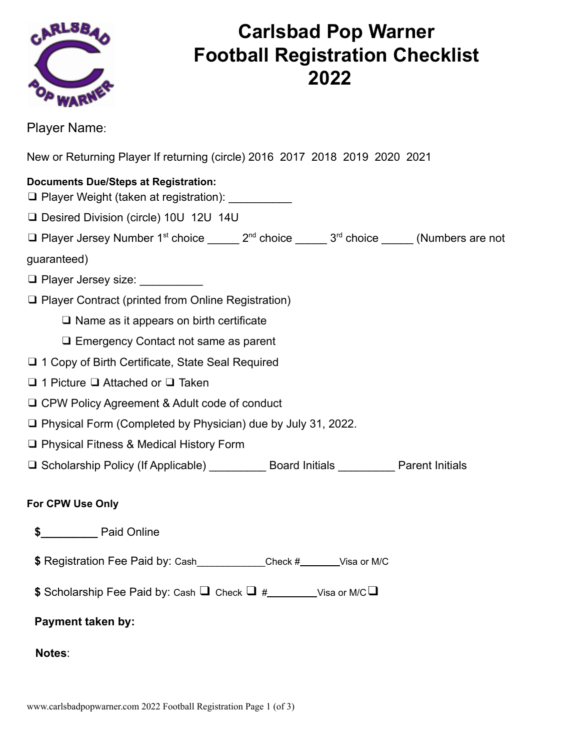

## **Carlsbad Pop Warner Football Registration Checklist 2022**

Player Name:

New or Returning Player If returning (circle) 2016 2017 2018 2019 2020 2021

#### **Documents Due/Steps at Registration:**

- $\Box$  Player Weight (taken at registration):  $\Box$
- ❑ Desired Division (circle) 10U 12U 14U
- ❑ Player Jersey Number 1st choice \_\_\_\_\_ 2nd choice \_\_\_\_\_ 3rd choice \_\_\_\_\_ (Numbers are not

guaranteed)

- ❑ Player Jersey size: \_\_\_\_\_\_\_\_\_\_
- ❑ Player Contract (printed from Online Registration)
	- ❑ Name as it appears on birth certificate
	- ❑ Emergency Contact not same as parent
- ❑ 1 Copy of Birth Certificate, State Seal Required
- ❑ 1 Picture ❑ Attached or ❑ Taken
- ❑ CPW Policy Agreement & Adult code of conduct
- ❑ Physical Form (Completed by Physician) due by July 31, 2022.
- ❑ Physical Fitness & Medical History Form
- ❑ Scholarship Policy (If Applicable) \_\_\_\_\_\_\_\_\_ Board Initials \_\_\_\_\_\_\_\_\_ Parent Initials

#### **For CPW Use Only**

- **\$\_\_\_\_\_\_\_\_\_** Paid Online
- **\$** Registration Fee Paid by: Cash Check # Visa or M/C
- **\$** Scholarship Fee Paid by: Cash ❑ Check ❑ # Visa or M/C❑

#### **Payment taken by:**

**Notes**: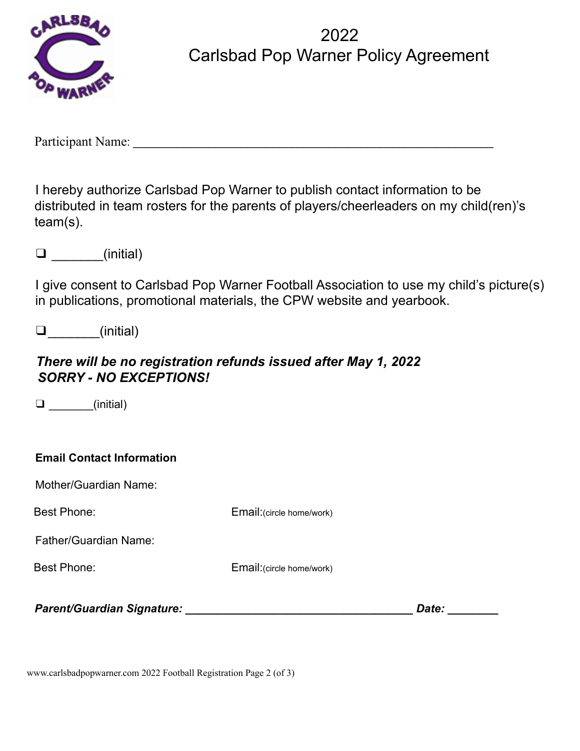

2022 Carlsbad Pop Warner Policy Agreement

Participant Name: \_\_\_\_\_\_\_\_\_\_\_\_\_\_\_\_\_\_\_\_\_\_\_\_\_\_\_\_\_\_\_\_\_\_\_\_\_\_\_\_\_\_\_\_\_\_\_\_\_\_\_\_\_\_\_\_\_

I hereby authorize Carlsbad Pop Warner to publish contact information to be distributed in team rosters for the parents of players/cheerleaders on my child(ren)'s team(s).

❑ \_\_\_\_\_\_\_(initial)

I give consent to Carlsbad Pop Warner Football Association to use my child's picture(s) in publications, promotional materials, the CPW website and yearbook.

❑\_\_\_\_\_\_\_(initial)

### *There will be no registration refunds issued after May 1, 2022 SORRY - NO EXCEPTIONS!*

 $\square$   $(inital)$ 

Mother/Guardian Name:

Best Phone: Email:(circle home/work)

Father/Guardian Name:

Best Phone: Email:(circle home/work)

*Parent/Guardian Signature: \_\_\_\_\_\_\_\_\_\_\_\_\_\_\_\_\_\_\_\_\_\_\_\_\_\_\_\_\_\_\_\_\_\_\_\_ Date: \_\_\_\_\_\_\_\_*

www.carlsbadpopwarner.com 2022 Football Registration Page 2 (of 3)